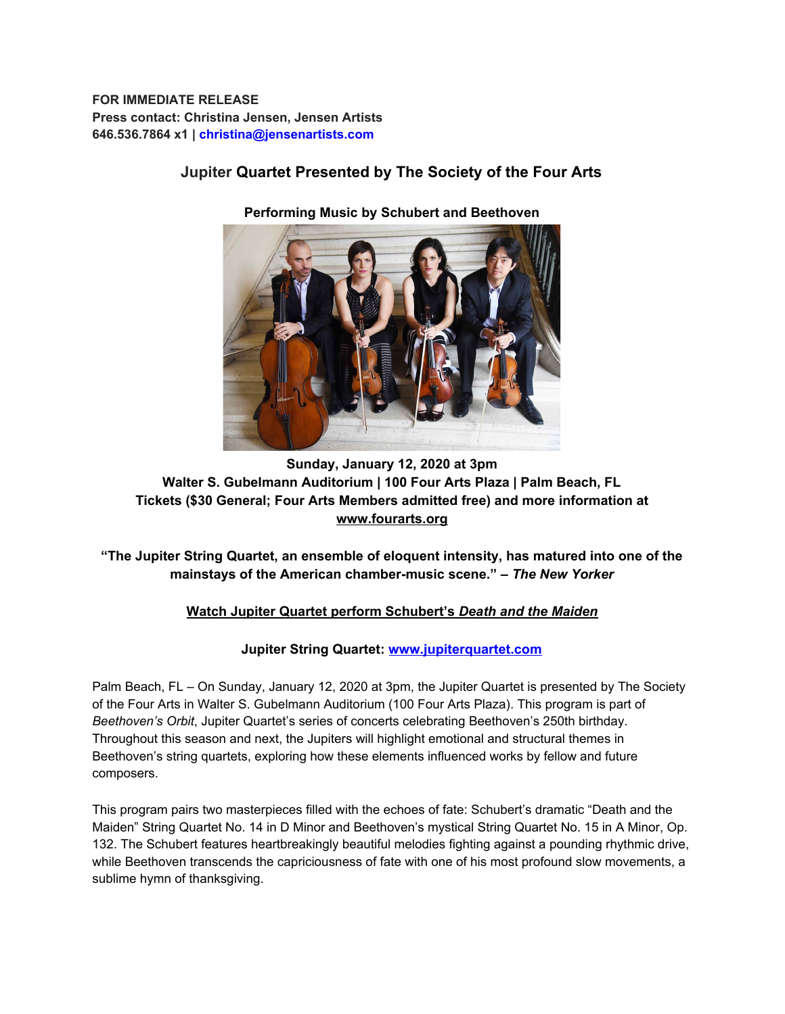**FOR IMMEDIATE RELEASE Press contact: Christina Jensen, Jensen Artists 646.536.7864 x1 | christina@jensenartists.com**

# **Jupiter Quartet Presented by The Society of the Four Arts**

**Performing Music by Schubert and Beethoven**

## **Sunday, January 12, 2020 at 3pm Walter S. Gubelmann Auditorium | 100 Four Arts Plaza | Palm Beach, FL Tickets (\$30 General; Four Arts Members admitted free) and more information at [www.fourarts.org](https://u7061146.ct.sendgrid.net/wf/click?upn=G62jSYfZdO-2F12d8lSllQB4W0Ia2UNMxchM08EeQc8RkYkTrg4JEi8w9uUyZlWUH3jPQZ5kBYlWhbpT6CRd5SmA-3D-3D_DruDjhchMBr5xQkz3h1qcOnjZc-2BCsAVhraQ7DxYhbA2-2BHLQf-2BHKWaWi2FTM7QHo-2Fd7eCMDRMAhfd2mcWSs-2FpzNW9MmuPwV7rH-2FbDd7DdSSbC2ygSEK4B7gSyFcMYZ54LZKZnvDjyMeWZUdWNmi92QpIj8OFLLGPf64Mh3MZpJCe6trRRT-2Frb7UzVXvoApasO3ES9gHr87Fcn8D7mSH0q4f86sHQWsX-2BX8UqAjloRk7Uw560ySMi1WZsovrx8y0qLcZ2CYefImAw-2F87LnjeC5bx2KtlAwRdrd3aQu-2F3ylQrsBljjTkkVAFz82joE9WKTGqB-2BF-2F-2F5SFeYK3-2BIAUuceO1U-2BSVsFFWNUcBkskfruFqU-3D)**

**"The Jupiter String Quartet, an ensemble of eloquent intensity, has matured into one of the mainstays of the American chamber-music scene." –** *The New Yorker*

## **[Watch Jupiter Quartet perform Schubert's](https://u7061146.ct.sendgrid.net/wf/click?upn=G62jSYfZdO-2F12d8lSllQB47ww-2Bk4X1-2F0qpXF9KpSo71XFpp5O4t4VSIRFgL0CYIL_DruDjhchMBr5xQkz3h1qcOnjZc-2BCsAVhraQ7DxYhbA2-2BHLQf-2BHKWaWi2FTM7QHo-2Fd7eCMDRMAhfd2mcWSs-2FpzNW9MmuPwV7rH-2FbDd7DdSSbC2ygSEK4B7gSyFcMYZ54LZKZnvDjyMeWZUdWNmi92QpIj8OFLLGPf64Mh3MZpJCe6trRRT-2Frb7UzVXvoApasO3ES9gHr87Fcn8D7mSH0q4fjZsySGBqQ8IalPT9szqSstI8khzgs-2B143LhBI1-2FQNnoUkmCCayXyA-2BHaapztJ8ZANTepnC4WesPKNlzoOC3AbCJMBd9sM45HOej1zWgA87nhalXtFGlgbLGLMlYNP4CCu-2FCxG14cMIFmOjasObfPc-3D)** *[Death and the Maiden](https://u7061146.ct.sendgrid.net/wf/click?upn=G62jSYfZdO-2F12d8lSllQB47ww-2Bk4X1-2F0qpXF9KpSo71XFpp5O4t4VSIRFgL0CYIL_DruDjhchMBr5xQkz3h1qcOnjZc-2BCsAVhraQ7DxYhbA2-2BHLQf-2BHKWaWi2FTM7QHo-2Fd7eCMDRMAhfd2mcWSs-2FpzNW9MmuPwV7rH-2FbDd7DdSSbC2ygSEK4B7gSyFcMYZ54LZKZnvDjyMeWZUdWNmi92QpIj8OFLLGPf64Mh3MZpJCe6trRRT-2Frb7UzVXvoApasO3ES9gHr87Fcn8D7mSH0q4fjZsySGBqQ8IalPT9szqSstI8khzgs-2B143LhBI1-2FQNnoUkmCCayXyA-2BHaapztJ8ZANTepnC4WesPKNlzoOC3AbCJMBd9sM45HOej1zWgA87nhalXtFGlgbLGLMlYNP4CCu-2FCxG14cMIFmOjasObfPc-3D)*

## **Jupiter String Quartet: [www.jupiterquartet.com](https://u7061146.ct.sendgrid.net/wf/click?upn=84Em28S1K9SvtzcUtu04Epv1uCYrLn4Lu2zRAjaeSNeTzT-2F473lybN2mPZvXI2y-2F_DruDjhchMBr5xQkz3h1qcOnjZc-2BCsAVhraQ7DxYhbA2-2BHLQf-2BHKWaWi2FTM7QHo-2Fd7eCMDRMAhfd2mcWSs-2FpzNW9MmuPwV7rH-2FbDd7DdSSbC2ygSEK4B7gSyFcMYZ54LZKZnvDjyMeWZUdWNmi92QpIj8OFLLGPf64Mh3MZpJCe6trRRT-2Frb7UzVXvoApasO3ES9gHr87Fcn8D7mSH0q4c5iKnjyWtbkMb-2F-2BY8QXTDrvUsEsW668wsGOmuKz5VAt-2BgjC-2FQAKHabu6qDKJnMaBy20e8OUajkQ5359niTj1x7CoOpSkESl5ruGdrnZSGhYMZlxeAT0nkuEENvE5f-2BfY0jlXt2UqkaAmJVHOIwm9TI-3D)**

Palm Beach, FL – On Sunday, January 12, 2020 at 3pm, the Jupiter Quartet is presented by The Society of the Four Arts in Walter S. Gubelmann Auditorium (100 Four Arts Plaza). This program is part of *Beethoven's Orbit*, Jupiter Quartet's series of concerts celebrating Beethoven's 250th birthday. Throughout this season and next, the Jupiters will highlight emotional and structural themes in Beethoven's string quartets, exploring how these elements influenced works by fellow and future composers.

This program pairs two masterpieces filled with the echoes of fate: Schubert's dramatic "Death and the Maiden" String Quartet No. 14 in D Minor and Beethoven's mystical String Quartet No. 15 in A Minor, Op. 132. The Schubert features heartbreakingly beautiful melodies fighting against a pounding rhythmic drive, while Beethoven transcends the capriciousness of fate with one of his most profound slow movements, a sublime hymn of thanksgiving.